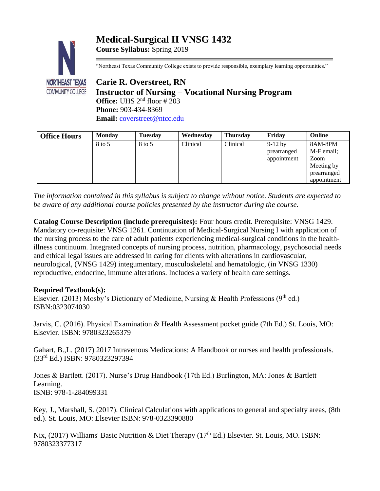# **Medical-Surgical II VNSG 1432**



**Course Syllabus:** Spring 2019

"Northeast Texas Community College exists to provide responsible, exemplary learning opportunities."

**Carie R. Overstreet, RN Instructor of Nursing – Vocational Nursing Program Office:** UHS 2nd floor # 203 **Phone:** 903-434-8369 Email: [coverstreet@ntcc.edu](mailto:coverstreet@ntcc.edu)

| <b>Office Hours</b> | <b>Monday</b> | <b>Tuesday</b> | Wednesday | <b>Thursday</b> | Fridav      | Online      |
|---------------------|---------------|----------------|-----------|-----------------|-------------|-------------|
|                     | 8 to 5        | 8 to 5         | Clinical  | Clinical        | $9-12$ by   | 8AM-8PM     |
|                     |               |                |           |                 | prearranged | M-F email;  |
|                     |               |                |           |                 | appointment | Zoom        |
|                     |               |                |           |                 |             | Meeting by  |
|                     |               |                |           |                 |             | prearranged |
|                     |               |                |           |                 |             | appointment |

*The information contained in this syllabus is subject to change without notice. Students are expected to be aware of any additional course policies presented by the instructor during the course.*

**Catalog Course Description (include prerequisites):** Four hours credit. Prerequisite: VNSG 1429. Mandatory co-requisite: VNSG 1261. Continuation of Medical-Surgical Nursing I with application of the nursing process to the care of adult patients experiencing medical-surgical conditions in the healthillness continuum. Integrated concepts of nursing process, nutrition, pharmacology, psychosocial needs and ethical legal issues are addressed in caring for clients with alterations in cardiovascular, neurological, (VNSG 1429) integumentary, musculoskeletal and hematologic, (in VNSG 1330) reproductive, endocrine, immune alterations. Includes a variety of health care settings.

# **Required Textbook(s):**

Elsevier. (2013) Mosby's Dictionary of Medicine, Nursing & Health Professions (9<sup>th</sup> ed.) ISBN:0323074030

Jarvis, C. (2016). Physical Examination & Health Assessment pocket guide (7th Ed.) St. Louis, MO: Elsevier. ISBN: 9780323265379

Gahart, B.,L. (2017) 2017 Intravenous Medications: A Handbook or nurses and health professionals. (33rd Ed.) ISBN: 9780323297394

Jones & Bartlett. (2017). Nurse's Drug Handbook (17th Ed.) Burlington, MA: Jones & Bartlett Learning. ISNB: 978-1-284099331

Key, J., Marshall, S. (2017). Clinical Calculations with applications to general and specialty areas, (8th ed.). St. Louis, MO: Elsevier ISBN: 978-0323390880

Nix, (2017) Williams' Basic Nutrition & Diet Therapy (17<sup>th</sup> Ed.) Elsevier. St. Louis, MO. ISBN: 9780323377317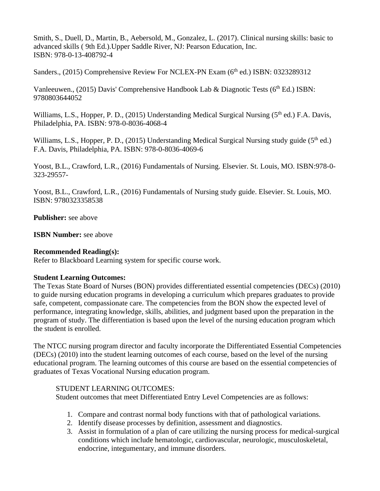Smith, S., Duell, D., Martin, B., Aebersold, M., Gonzalez, L. (2017). Clinical nursing skills: basic to advanced skills ( 9th Ed.).Upper Saddle River, NJ: Pearson Education, Inc. ISBN: 978-0-13-408792-4

Sanders., (2015) Comprehensive Review For NCLEX-PN Exam (6<sup>th</sup> ed.) ISBN: 0323289312

Vanleeuwen., (2015) Davis' Comprehensive Handbook Lab & Diagnotic Tests ( $6<sup>th</sup> Ed.$ ) ISBN: 9780803644052

Williams, L.S., Hopper, P. D., (2015) Understanding Medical Surgical Nursing (5<sup>th</sup> ed.) F.A. Davis, Philadelphia, PA. ISBN: 978-0-8036-4068-4

Williams, L.S., Hopper, P. D., (2015) Understanding Medical Surgical Nursing study guide (5<sup>th</sup> ed.) F.A. Davis, Philadelphia, PA. ISBN: 978-0-8036-4069-6

Yoost, B.L., Crawford, L.R., (2016) Fundamentals of Nursing. Elsevier. St. Louis, MO. ISBN:978-0- 323-29557-

Yoost, B.L., Crawford, L.R., (2016) Fundamentals of Nursing study guide. Elsevier. St. Louis, MO. ISBN: 9780323358538

**Publisher:** see above

**ISBN Number:** see above

# **Recommended Reading(s):**

Refer to Blackboard Learning system for specific course work.

# **Student Learning Outcomes:**

The Texas State Board of Nurses (BON) provides differentiated essential competencies (DECs) (2010) to guide nursing education programs in developing a curriculum which prepares graduates to provide safe, competent, compassionate care. The competencies from the BON show the expected level of performance, integrating knowledge, skills, abilities, and judgment based upon the preparation in the program of study. The differentiation is based upon the level of the nursing education program which the student is enrolled.

The NTCC nursing program director and faculty incorporate the Differentiated Essential Competencies (DECs) (2010) into the student learning outcomes of each course, based on the level of the nursing educational program. The learning outcomes of this course are based on the essential competencies of graduates of Texas Vocational Nursing education program.

# STUDENT LEARNING OUTCOMES:

Student outcomes that meet Differentiated Entry Level Competencies are as follows:

- 1. Compare and contrast normal body functions with that of pathological variations.
- 2. Identify disease processes by definition, assessment and diagnostics.
- 3. Assist in formulation of a plan of care utilizing the nursing process for medical-surgical conditions which include hematologic, cardiovascular, neurologic, musculoskeletal, endocrine, integumentary, and immune disorders.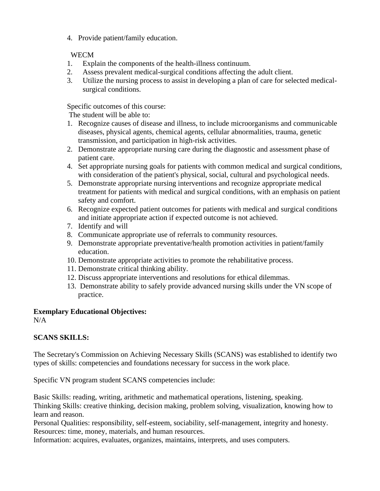4. Provide patient/family education.

# WECM

- 1. Explain the components of the health-illness continuum.
- 2. Assess prevalent medical-surgical conditions affecting the adult client.
- 3. Utilize the nursing process to assist in developing a plan of care for selected medicalsurgical conditions.

Specific outcomes of this course:

The student will be able to:

- 1. Recognize causes of disease and illness, to include microorganisms and communicable diseases, physical agents, chemical agents, cellular abnormalities, trauma, genetic transmission, and participation in high-risk activities.
- 2. Demonstrate appropriate nursing care during the diagnostic and assessment phase of patient care.
- 4. Set appropriate nursing goals for patients with common medical and surgical conditions, with consideration of the patient's physical, social, cultural and psychological needs.
- 5. Demonstrate appropriate nursing interventions and recognize appropriate medical treatment for patients with medical and surgical conditions, with an emphasis on patient safety and comfort.
- 6. Recognize expected patient outcomes for patients with medical and surgical conditions and initiate appropriate action if expected outcome is not achieved.
- 7. Identify and will
- 8. Communicate appropriate use of referrals to community resources.
- 9. Demonstrate appropriate preventative/health promotion activities in patient/family education.
- 10. Demonstrate appropriate activities to promote the rehabilitative process.
- 11. Demonstrate critical thinking ability.
- 12. Discuss appropriate interventions and resolutions for ethical dilemmas.
- 13. Demonstrate ability to safely provide advanced nursing skills under the VN scope of practice.

# **Exemplary Educational Objectives:**

N/A

# **SCANS SKILLS:**

The Secretary's Commission on Achieving Necessary Skills (SCANS) was established to identify two types of skills: competencies and foundations necessary for success in the work place.

Specific VN program student SCANS competencies include:

Basic Skills: reading, writing, arithmetic and mathematical operations, listening, speaking. Thinking Skills: creative thinking, decision making, problem solving, visualization, knowing how to learn and reason.

Personal Qualities: responsibility, self-esteem, sociability, self-management, integrity and honesty. Resources: time, money, materials, and human resources.

Information: acquires, evaluates, organizes, maintains, interprets, and uses computers.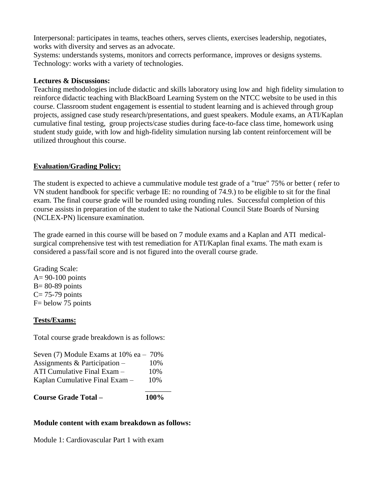Interpersonal: participates in teams, teaches others, serves clients, exercises leadership, negotiates, works with diversity and serves as an advocate.

Systems: understands systems, monitors and corrects performance, improves or designs systems. Technology: works with a variety of technologies.

# **Lectures & Discussions:**

Teaching methodologies include didactic and skills laboratory using low and high fidelity simulation to reinforce didactic teaching with BlackBoard Learning System on the NTCC website to be used in this course. Classroom student engagement is essential to student learning and is achieved through group projects, assigned case study research/presentations, and guest speakers. Module exams, an ATI/Kaplan cumulative final testing, group projects/case studies during face-to-face class time, homework using student study guide, with low and high-fidelity simulation nursing lab content reinforcement will be utilized throughout this course.

# **Evaluation/Grading Policy:**

The student is expected to achieve a cummulative module test grade of a "true" 75% or better ( refer to VN student handbook for specific verbage IE: no rounding of 74.9.) to be eligible to sit for the final exam. The final course grade will be rounded using rounding rules. Successful completion of this course assists in preparation of the student to take the National Council State Boards of Nursing (NCLEX-PN) licensure examination.

The grade earned in this course will be based on 7 module exams and a Kaplan and ATI medicalsurgical comprehensive test with test remediation for ATI/Kaplan final exams. The math exam is considered a pass/fail score and is not figured into the overall course grade.

Grading Scale:  $A= 90-100$  points  $B = 80-89$  points  $C= 75-79$  points F= below 75 points

# **Tests/Exams:**

Total course grade breakdown is as follows:

| <b>Course Grade Total -</b>              | 100% |
|------------------------------------------|------|
| Kaplan Cumulative Final Exam -           | 10%  |
| ATI Cumulative Final Exam -              | 10%  |
| Assignments & Participation $-$          | 10%  |
| Seven $(7)$ Module Exams at 10% ea - 70% |      |

# **Module content with exam breakdown as follows:**

Module 1: Cardiovascular Part 1 with exam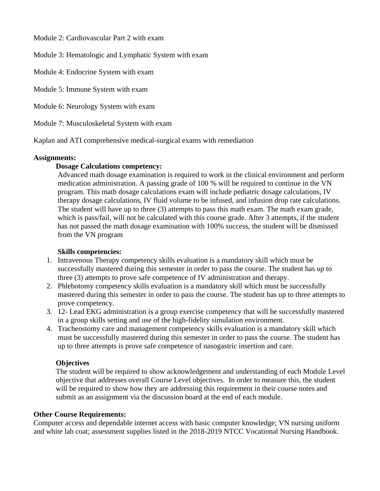Module 2: Cardiovascular Part 2 with exam

Module 3: Hematologic and Lymphatic System with exam

Module 4: Endocrine System with exam

Module 5: Immune System with exam

Module 6: Neurology System with exam

Module 7: Musculoskeletal System with exam

Kaplan and ATI comprehensive medical-surgical exams with remediation

#### **Assignments:**

# **Dosage Calculations competency:**

Advanced math dosage examination is required to work in the clinical environment and perform medication administration. A passing grade of 100 % will be required to continue in the VN program. This math dosage calculations exam will include pediatric dosage calculations, IV therapy dosage calculations, IV fluid volume to be infused, and infusion drop rate calculations. The student will have up to three (3) attempts to pass this math exam. The math exam grade, which is pass/fail, will not be calculated with this course grade. After 3 attempts, if the student has not passed the math dosage examination with 100% success, the student will be dismissed from the VN program

# **Skills competencies:**

- 1. Intravenous Therapy competency skills evaluation is a mandatory skill which must be successfully mastered during this semester in order to pass the course. The student has up to three (3) attempts to prove safe competence of IV administration and therapy.
- 2. Phlebotomy competency skills evaluation is a mandatory skill which must be successfully mastered during this semester in order to pass the course. The student has up to three attempts to prove competency.
- 3. 12- Lead EKG administration is a group exercise competency that will be successfully mastered in a group skills setting and use of the high-fidelity simulation environment.
- 4. Tracheostomy care and management competency skills evaluation is a mandatory skill which must be successfully mastered during this semester in order to pass the course. The student has up to three attempts is prove safe competence of nasogastric insertion and care.

# **Objectives**

The student will be required to show acknowledgement and understanding of each Module Level objective that addresses overall Course Level objectives. In order to measure this, the student will be required to show how they are addressing this requirement in their course notes and submit as an assignment via the discussion board at the end of each module.

#### **Other Course Requirements:**

Computer access and dependable internet access with basic computer knowledge; VN nursing uniform and white lab coat; assessment supplies listed in the 2018-2019 NTCC Vocational Nursing Handbook.